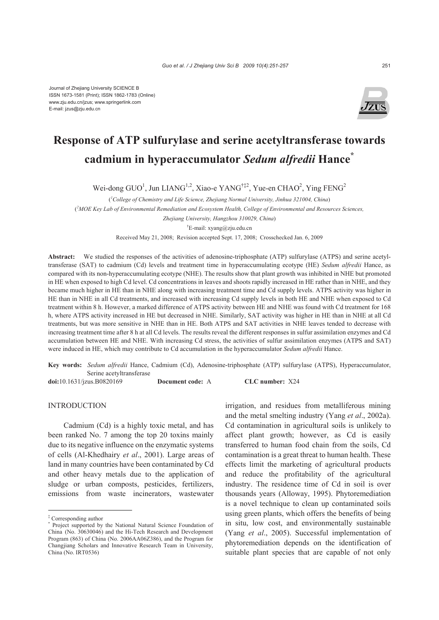

# **Response of ATP sulfurylase and serine acetyltransferase towards cadmium in hyperaccumulator** *Sedum alfredii* **Hance\***

Wei-dong GUO<sup>1</sup>, Jun LIANG<sup>1,2</sup>, Xiao-e YANG<sup>†‡2</sup>, Yue-en CHAO<sup>2</sup>, Ying FENG<sup>2</sup>

( *1 College of Chemistry and Life Science, Zhejiang Normal University, Jinhua 321004, China*)

( *2 MOE Key Lab of Environmental Remediation and Ecosystem Health, College of Environmental and Resources Sciences,* 

*Zhejiang University, Hangzhou 310029, China*)

† E-mail: xyang@zju.edu.cn

Received May 21, 2008; Revision accepted Sept. 17, 2008; Crosschecked Jan. 6, 2009

**Abstract:** We studied the responses of the activities of adenosine-triphosphate (ATP) sulfurylase (ATPS) and serine acetyltransferase (SAT) to cadmium (Cd) levels and treatment time in hyperaccumulating ecotype (HE) *Sedum alfredii* Hance, as compared with its non-hyperaccumulating ecotype (NHE). The results show that plant growth was inhibited in NHE but promoted in HE when exposed to high Cd level. Cd concentrations in leaves and shoots rapidly increased in HE rather than in NHE, and they became much higher in HE than in NHE along with increasing treatment time and Cd supply levels. ATPS activity was higher in HE than in NHE in all Cd treatments, and increased with increasing Cd supply levels in both HE and NHE when exposed to Cd treatment within 8 h. However, a marked difference of ATPS activity between HE and NHE was found with Cd treatment for 168 h, where ATPS activity increased in HE but decreased in NHE. Similarly, SAT activity was higher in HE than in NHE at all Cd treatments, but was more sensitive in NHE than in HE. Both ATPS and SAT activities in NHE leaves tended to decrease with increasing treatment time after 8 h at all Cd levels. The results reveal the different responses in sulfur assimilation enzymes and Cd accumulation between HE and NHE. With increasing Cd stress, the activities of sulfur assimilation enzymes (ATPS and SAT) were induced in HE, which may contribute to Cd accumulation in the hyperaccumulator *Sedum alfredii* Hance.

**Key words:** *Sedum alfredii* Hance, Cadmium (Cd), Adenosine-triphosphate (ATP) sulfurylase (ATPS), Hyperaccumulator, Serine acetyltransferase

**doi:**10.1631/jzus.B0820169 **Document code:** A **CLC number:** X24

## **INTRODUCTION**

Cadmium (Cd) is a highly toxic metal, and has been ranked No. 7 among the top 20 toxins mainly due to its negative influence on the enzymatic systems of cells (Al-Khedhairy *et al*., 2001). Large areas of land in many countries have been contaminated by Cd and other heavy metals due to the application of sludge or urban composts, pesticides, fertilizers, emissions from waste incinerators, wastewater

irrigation, and residues from metalliferous mining and the metal smelting industry (Yang *et al*., 2002a). Cd contamination in agricultural soils is unlikely to affect plant growth; however, as Cd is easily transferred to human food chain from the soils, Cd contamination is a great threat to human health. These effects limit the marketing of agricultural products and reduce the profitability of the agricultural industry. The residence time of Cd in soil is over thousands years (Alloway, 1995). Phytoremediation is a novel technique to clean up contaminated soils using green plants, which offers the benefits of being in situ, low cost, and environmentally sustainable (Yang *et al*., 2005). Successful implementation of phytoremediation depends on the identification of suitable plant species that are capable of not only

<sup>‡</sup> Corresponding author

<sup>\*</sup> Project supported by the National Natural Science Foundation of China (No. 30630046) and the Hi-Tech Research and Development Program (863) of China (No. 2006AA06Z386), and the Program for Changjiang Scholars and Innovative Research Team in University, China (No. IRT0536)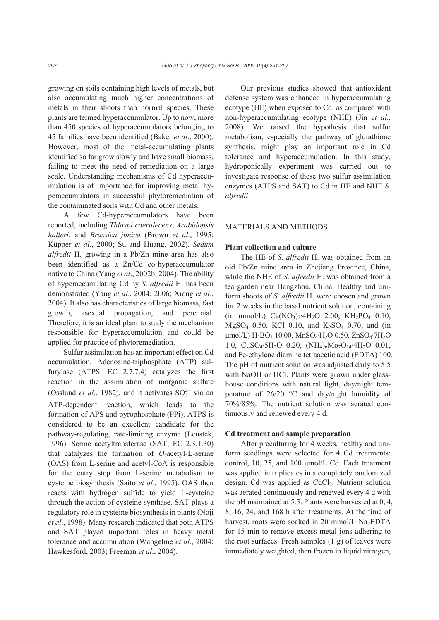growing on soils containing high levels of metals, but also accumulating much higher concentrations of metals in their shoots than normal species. These plants are termed hyperaccumulator. Up to now, more than 450 species of hyperaccumulators belonging to 45 families have been identified (Baker *et al*., 2000). However, most of the metal-accumulating plants identified so far grow slowly and have small biomass, failing to meet the need of remediation on a large scale. Understanding mechanisms of Cd hyperaccumulation is of importance for improving metal hyperaccumulators in successful phytoremediation of the contaminated soils with Cd and other metals.

A few Cd-hyperaccumulators have been reported, including *Thlaspi caerulecens*, *Arabidopsis halleri*, and *Brassica junica* (Brown *et al*., 1995; Küpper *et al*., 2000; Su and Huang, 2002). *Sedum alfredii* H. growing in a Pb/Zn mine area has also been identified as a Zn/Cd co-hyperaccumulator native to China (Yang *et al*., 2002b; 2004). The ability of hyperaccumulating Cd by *S*. *alfredii* H. has been demonstrated (Yang *et al*., 2004; 2006; Xiong *et al*., 2004). It also has characteristics of large biomass, fast growth, asexual propagation, and perennial. Therefore, it is an ideal plant to study the mechanism responsible for hyperaccumulation and could be applied for practice of phytoremediation.

Sulfur assimilation has an important effect on Cd accumulation. Adenosine-triphosphate (ATP) sulfurylase (ATPS; EC 2.7.7.4) catalyzes the first reaction in the assimilation of inorganic sulfate (Osslund *et al.*, 1982), and it activates  $SO_4^{2-}$  via an ATP-dependent reaction, which leads to the formation of APS and pyrophosphate (PPi). ATPS is considered to be an excellent candidate for the pathway-regulating, rate-limiting enzyme (Leustek, 1996). Serine acetyltransferase (SAT; EC 2.3.1.30) that catalyzes the formation of *O*-acetyl-L-serine (OAS) from L-serine and acetyl-CoA is responsible for the entry step from L-serine metabolism to cysteine biosynthesis (Saito *et al*., 1995). OAS then reacts with hydrogen sulfide to yield L-cysteine through the action of cysteine synthase. SAT plays a regulatory role in cysteine biosynthesis in plants (Noji *et al*., 1998). Many research indicated that both ATPS and SAT played important roles in heavy metal tolerance and accumulation (Wangeline *et al*., 2004; Hawkesford, 2003; Freeman *et al*., 2004).

Our previous studies showed that antioxidant defense system was enhanced in hyperaccumulating ecotype (HE) when exposed to Cd, as compared with non-hyperaccumulating ecotype (NHE) (Jin *et al*., 2008). We raised the hypothesis that sulfur metabolism, especially the pathway of glutathione synthesis, might play an important role in Cd tolerance and hyperaccumulation. In this study, hydroponically experiment was carried out to investigate response of these two sulfur assimilation enzymes (ATPS and SAT) to Cd in HE and NHE *S*. *alfredii*.

#### MATERIALS AND METHODS

#### **Plant collection and culture**

The HE of *S*. *alfredii* H. was obtained from an old Pb/Zn mine area in Zhejiang Province, China, while the NHE of *S*. *alfredii* H. was obtained from a tea garden near Hangzhou, China. Healthy and uniform shoots of *S*. *alfredii* H. were chosen and grown for 2 weeks in the basal nutrient solution, containing (in mmol/L)  $Ca(NO_3)_2$  4H<sub>2</sub>O 2.00, KH<sub>2</sub>PO<sub>4</sub> 0.10, MgSO<sub>4</sub> 0.50, KCl 0.10, and K<sub>2</sub>SO<sub>4</sub> 0.70; and (in  $\mu$ mol/L) H<sub>3</sub>BO<sub>3</sub> 10.00, MnSO<sub>4</sub>·H<sub>2</sub>O 0.50, ZnSO<sub>4</sub>·7H<sub>2</sub>O 1.0, CuSO<sub>4</sub>·5H<sub>2</sub>O 0.20, (NH<sub>4</sub>)<sub>6</sub>Mo<sub>7</sub>O<sub>24</sub>·4H<sub>2</sub>O 0.01, and Fe-ethylene diamine tetraacetic acid (EDTA) 100. The pH of nutrient solution was adjusted daily to 5.5 with NaOH or HCl. Plants were grown under glasshouse conditions with natural light, day/night temperature of 26/20 °C and day/night humidity of 70%/85%. The nutrient solution was aerated continuously and renewed every 4 d.

## **Cd treatment and sample preparation**

After preculturing for 4 weeks, healthy and uniform seedlings were selected for 4 Cd treatments: control, 10, 25, and 100 μmol/L Cd. Each treatment was applied in triplicates in a completely randomized design. Cd was applied as  $CdCl<sub>2</sub>$ . Nutrient solution was aerated continuously and renewed every 4 d with the pH maintained at 5.5. Plants were harvested at 0, 4, 8, 16, 24, and 168 h after treatments. At the time of harvest, roots were soaked in 20 mmol/L Na<sub>2</sub>EDTA for 15 min to remove excess metal ions adhering to the root surfaces. Fresh samples  $(1 g)$  of leaves were immediately weighted, then frozen in liquid nitrogen,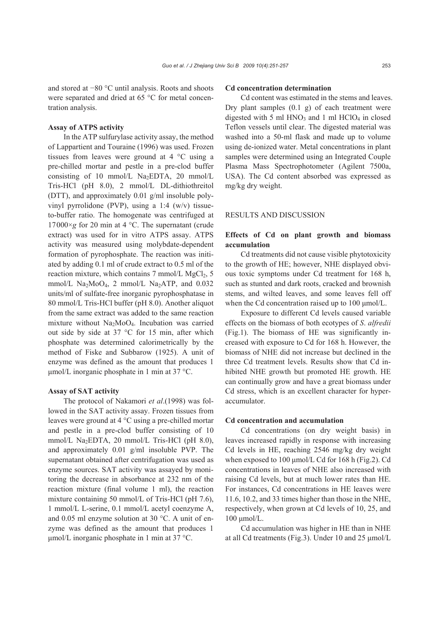and stored at −80 °C until analysis. Roots and shoots were separated and dried at 65 °C for metal concentration analysis.

# **Assay of ATPS activity**

In the ATP sulfurylase activity assay, the method of Lappartient and Touraine (1996) was used. Frozen tissues from leaves were ground at 4 °C using a pre-chilled mortar and pestle in a pre-clod buffer consisting of 10 mmol/L Na<sub>2</sub>EDTA, 20 mmol/L Tris-HCl (pH 8.0), 2 mmol/L DL-dithiothreitol (DTT), and approximately 0.01 g/ml insoluble polyvinyl pyrrolidone (PVP), using a 1:4 (w/v) tissueto-buffer ratio. The homogenate was centrifuged at  $17000 \times g$  for 20 min at 4 °C. The supernatant (crude extract) was used for in vitro ATPS assay. ATPS activity was measured using molybdate-dependent formation of pyrophosphate. The reaction was initiated by adding 0.1 ml of crude extract to 0.5 ml of the reaction mixture, which contains  $7 \text{ mmol/L MgCl}_2$ ,  $5 \text{ mmol/L MgCl}_2$ mmol/L  $\text{Na}_2\text{MoO}_4$ , 2 mmol/L  $\text{Na}_2\text{ATP}$ , and 0.032 units/ml of sulfate-free inorganic pyrophosphatase in 80 mmol/L Tris-HCl buffer (pH 8.0). Another aliquot from the same extract was added to the same reaction mixture without Na2MoO4. Incubation was carried out side by side at 37 °C for 15 min, after which phosphate was determined calorimetrically by the method of Fiske and Subbarow (1925). A unit of enzyme was defined as the amount that produces 1 μmol/L inorganic phosphate in 1 min at 37 °C.

# **Assay of SAT activity**

The protocol of Nakamori *et al*.(1998) was followed in the SAT activity assay. Frozen tissues from leaves were ground at 4 °C using a pre-chilled mortar and pestle in a pre-clod buffer consisting of 10 mmol/L Na<sub>2</sub>EDTA, 20 mmol/L Tris-HCl (pH 8.0), and approximately 0.01 g/ml insoluble PVP. The supernatant obtained after centrifugation was used as enzyme sources. SAT activity was assayed by monitoring the decrease in absorbance at 232 nm of the reaction mixture (final volume 1 ml), the reaction mixture containing 50 mmol/L of Tris-HCl (pH 7.6), 1 mmol/L L-serine, 0.1 mmol/L acetyl coenzyme A, and 0.05 ml enzyme solution at 30 °C. A unit of enzyme was defined as the amount that produces 1 μmol/L inorganic phosphate in 1 min at 37 °C.

## **Cd concentration determination**

Cd content was estimated in the stems and leaves. Dry plant samples (0.1 g) of each treatment were digested with 5 ml  $HNO<sub>3</sub>$  and 1 ml  $HClO<sub>4</sub>$  in closed Teflon vessels until clear. The digested material was washed into a 50-ml flask and made up to volume using de-ionized water. Metal concentrations in plant samples were determined using an Integrated Couple Plasma Mass Spectrophotometer (Agilent 7500a, USA). The Cd content absorbed was expressed as mg/kg dry weight.

#### RESULTS AND DISCUSSION

# **Effects of Cd on plant growth and biomass accumulation**

Cd treatments did not cause visible phytotoxicity to the growth of HE; however, NHE displayed obvious toxic symptoms under Cd treatment for 168 h, such as stunted and dark roots, cracked and brownish stems, and wilted leaves, and some leaves fell off when the Cd concentration raised up to 100 μmol/L.

Exposure to different Cd levels caused variable effects on the biomass of both ecotypes of *S*. *alfredii* (Fig.1). The biomass of HE was significantly increased with exposure to Cd for 168 h. However, the biomass of NHE did not increase but declined in the three Cd treatment levels. Results show that Cd inhibited NHE growth but promoted HE growth. HE can continually grow and have a great biomass under Cd stress, which is an excellent character for hyperaccumulator.

#### **Cd concentration and accumulation**

Cd concentrations (on dry weight basis) in leaves increased rapidly in response with increasing Cd levels in HE, reaching 2546 mg/kg dry weight when exposed to 100 μmol/L Cd for 168 h (Fig.2). Cd concentrations in leaves of NHE also increased with raising Cd levels, but at much lower rates than HE. For instances, Cd concentrations in HE leaves were 11.6, 10.2, and 33 times higher than those in the NHE, respectively, when grown at Cd levels of 10, 25, and 100 μmol/L.

Cd accumulation was higher in HE than in NHE at all Cd treatments (Fig.3). Under 10 and 25 μmol/L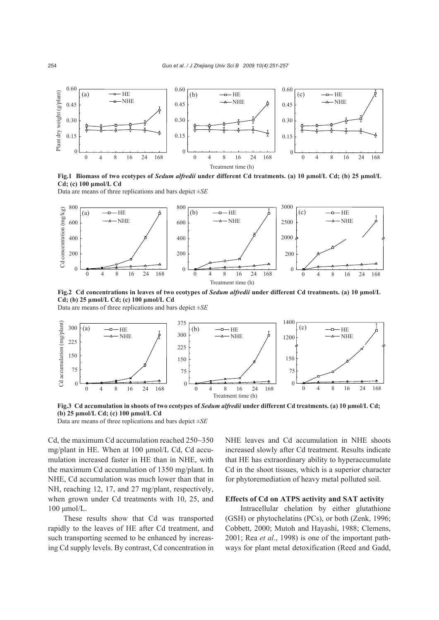

**Fig.1 Biomass of two ecotypes of** *Sedum alfredii* **under different Cd treatments. (a) 10 μmol/L Cd; (b) 25 μmol/L Cd; (c) 100 μmol/L Cd** 

Data are means of three replications and bars depict ±*SE*



**Fig.2 Cd concentrations in leaves of two ecotypes of** *Sedum alfredii* **under different Cd treatments. (a) 10 μmol/L Cd; (b) 25 μmol/L Cd; (c) 100 μmol/L Cd** 

Data are means of three replications and bars depict ±*SE*



**Fig.3 Cd accumulation in shoots of two ecotypes of** *Sedum alfredii* **under different Cd treatments. (a) 10 μmol/L Cd; (b) 25 μmol/L Cd; (c) 100 μmol/L Cd** 

Data are means of three replications and bars depict ±*SE*

Cd, the maximum Cd accumulation reached 250~350 mg/plant in HE. When at 100 μmol/L Cd, Cd accumulation increased faster in HE than in NHE, with the maximum Cd accumulation of 1350 mg/plant. In NHE, Cd accumulation was much lower than that in NH, reaching 12, 17, and 27 mg/plant, respectively, when grown under Cd treatments with 10, 25, and 100 μmol/L.

These results show that Cd was transported rapidly to the leaves of HE after Cd treatment, and such transporting seemed to be enhanced by increasing Cd supply levels. By contrast, Cd concentration in NHE leaves and Cd accumulation in NHE shoots increased slowly after Cd treatment. Results indicate that HE has extraordinary ability to hyperaccumulate Cd in the shoot tissues, which is a superior character for phytoremediation of heavy metal polluted soil.

## **Effects of Cd on ATPS activity and SAT activity**

Intracellular chelation by either glutathione (GSH) or phytochelatins (PCs), or both (Zenk, 1996; Cobbett, 2000; Mutoh and Hayashi, 1988; Clemens, 2001; Rea *et al*., 1998) is one of the important pathways for plant metal detoxification (Reed and Gadd,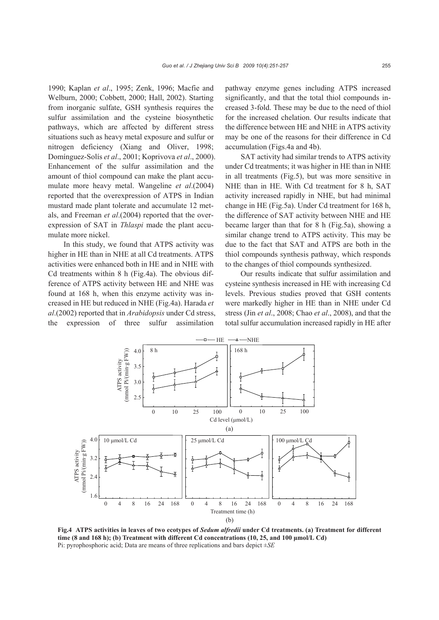1990; Kaplan *et al*., 1995; Zenk, 1996; Macfie and Welburn, 2000; Cobbett, 2000; Hall, 2002). Starting from inorganic sulfate, GSH synthesis requires the sulfur assimilation and the cysteine biosynthetic pathways, which are affected by different stress situations such as heavy metal exposure and sulfur or nitrogen deficiency (Xiang and Oliver, 1998; Domínguez-Solís *et al*., 2001; Koprivova *et al*., 2000). Enhancement of the sulfur assimilation and the amount of thiol compound can make the plant accumulate more heavy metal. Wangeline *et al*.(2004) reported that the overexpression of ATPS in Indian mustard made plant tolerate and accumulate 12 metals, and Freeman *et al*.(2004) reported that the overexpression of SAT in *Thlaspi* made the plant accumulate more nickel.

In this study, we found that ATPS activity was higher in HE than in NHE at all Cd treatments. ATPS activities were enhanced both in HE and in NHE with Cd treatments within 8 h (Fig.4a). The obvious difference of ATPS activity between HE and NHE was found at 168 h, when this enzyme activity was increased in HE but reduced in NHE (Fig.4a). Harada *et al*.(2002) reported that in *Arabidopsis* under Cd stress, the expression of three sulfur assimilation

pathway enzyme genes including ATPS increased significantly, and that the total thiol compounds increased 3-fold. These may be due to the need of thiol for the increased chelation. Our results indicate that the difference between HE and NHE in ATPS activity may be one of the reasons for their difference in Cd accumulation (Figs.4a and 4b).

SAT activity had similar trends to ATPS activity under Cd treatments; it was higher in HE than in NHE in all treatments (Fig.5), but was more sensitive in NHE than in HE. With Cd treatment for 8 h, SAT activity increased rapidly in NHE, but had minimal change in HE (Fig.5a). Under Cd treatment for 168 h, the difference of SAT activity between NHE and HE became larger than that for 8 h (Fig.5a), showing a similar change trend to ATPS activity. This may be due to the fact that SAT and ATPS are both in the thiol compounds synthesis pathway, which responds to the changes of thiol compounds synthesized.

Our results indicate that sulfur assimilation and cysteine synthesis increased in HE with increasing Cd levels. Previous studies proved that GSH contents were markedly higher in HE than in NHE under Cd stress (Jin *et al*., 2008; Chao *et al*., 2008), and that the total sulfur accumulation increased rapidly in HE after



**Fig.4 ATPS activities in leaves of two ecotypes of** *Sedum alfredii* **under Cd treatments. (a) Treatment for different time (8 and 168 h); (b) Treatment with different Cd concentrations (10, 25, and 100 μmol/L Cd)** Pi: pyrophosphoric acid; Data are means of three replications and bars depict ±*SE*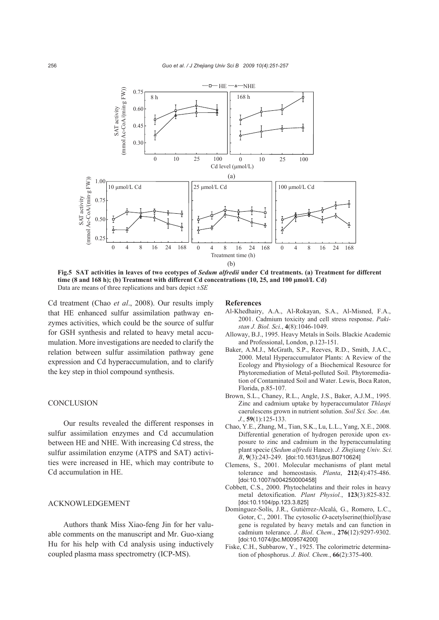

**Fig.5 SAT activities in leaves of two ecotypes of** *Sedum alfredii* **under Cd treatments. (a) Treatment for different time (8 and 168 h); (b) Treatment with different Cd concentrations (10, 25, and 100 μmol/L Cd)**  Data are means of three replications and bars depict ±*SE*

Cd treatment (Chao *et al*., 2008). Our results imply that HE enhanced sulfur assimilation pathway enzymes activities, which could be the source of sulfur for GSH synthesis and related to heavy metal accumulation. More investigations are needed to clarify the relation between sulfur assimilation pathway gene expression and Cd hyperaccumulation, and to clarify the key step in thiol compound synthesis.

#### **CONCLUSION**

Our results revealed the different responses in sulfur assimilation enzymes and Cd accumulation between HE and NHE. With increasing Cd stress, the sulfur assimilation enzyme (ATPS and SAT) activities were increased in HE, which may contribute to Cd accumulation in HE.

# ACKNOWLEDGEMENT

Authors thank Miss Xiao-feng Jin for her valuable comments on the manuscript and Mr. Guo-xiang Hu for his help with Cd analysis using inductively coupled plasma mass spectrometry (ICP-MS).

#### **References**

- Al-Khedhairy, A.A., Al-Rokayan, S.A., Al-Misned, F.A., 2001. Cadmium toxicity and cell stress response. *Pakistan J. Biol. Sci.*, **4**(8):1046-1049.
- Alloway, B.J., 1995. Heavy Metals in Soils. Blackie Academic and Professional, London, p.123-151.
- Baker, A.M.J., McGrath, S.P., Reeves, R.D., Smith, J.A.C., 2000. Metal Hyperaccumulator Plants: A Review of the Ecology and Physiology of a Biochemical Resource for Phytoremediation of Metal-polluted Soil. Phytoremediation of Contaminated Soil and Water. Lewis, Boca Raton, Florida, p.85-107.
- Brown, S.L., Chaney, R.L., Angle, J.S., Baker, A.J.M., 1995. Zinc and cadmium uptake by hyperaccumulator *Thlaspi* caerulescens grown in nutrient solution. *Soil Sci. Soc. Am. J.*, **59**(1):125-133.
- Chao, Y.E., Zhang, M., Tian, S.K., Lu, L.L., Yang, X.E., 2008. Differential generation of hydrogen peroxide upon exposure to zinc and cadmium in the hyperaccumulating plant specie (*Sedum alfredii* Hance). *J. Zhejiang Univ. Sci. B*, **9**(3):243-249. [doi:10.1631/jzus.B0710624]
- Clemens, S., 2001. Molecular mechanisms of plant metal tolerance and homeostasis. *Planta*, **212**(4):475-486. [doi:10.1007/s004250000458]
- Cobbett, C.S., 2000. Phytochelatins and their roles in heavy metal detoxification. *Plant Physiol.*, **123**(3):825-832. [doi:10.1104/pp.123.3.825]
- Domínguez-Solís, J.R., Gutiérrez-Alcalá, G., Romero, L.C., Gotor, C., 2001. The cytosolic *O*-acetylserine(thiol)lyase gene is regulated by heavy metals and can function in cadmium tolerance. *J*. *Biol*. *Chem*., **276**(12):9297-9302. [doi:10.1074/jbc.M009574200]
- Fiske, C.H., Subbarow, Y., 1925. The colorimetric determination of phosphorus. *J. Biol. Chem.*, **66**(2):375-400.